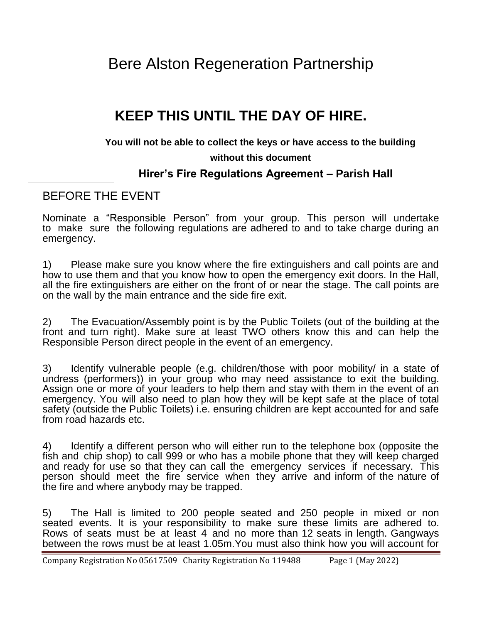Bere Alston Regeneration Partnership

## **KEEP THIS UNTIL THE DAY OF HIRE.**

#### **You will not be able to collect the keys or have access to the building**

#### **without this document**

### **Hirer's Fire Regulations Agreement – Parish Hall**

## BEFORE THE EVENT

Nominate a "Responsible Person" from your group. This person will undertake to make sure the following regulations are adhered to and to take charge during an emergency.

1) Please make sure you know where the fire extinguishers and call points are and how to use them and that you know how to open the emergency exit doors. In the Hall, all the fire extinguishers are either on the front of or near the stage. The call points are on the wall by the main entrance and the side fire exit.

2) The Evacuation/Assembly point is by the Public Toilets (out of the building at the front and turn right). Make sure at least TWO others know this and can help the Responsible Person direct people in the event of an emergency.

3) Identify vulnerable people (e.g. children/those with poor mobility/ in a state of undress (performers)) in your group who may need assistance to exit the building. Assign one or more of your leaders to help them and stay with them in the event of an emergency. You will also need to plan how they will be kept safe at the place of total safety (outside the Public Toilets) i.e. ensuring children are kept accounted for and safe from road hazards etc.

4) Identify a different person who will either run to the telephone box (opposite the fish and chip shop) to call 999 or who has a mobile phone that they will keep charged and ready for use so that they can call the emergency services if necessary. This person should meet the fire service when they arrive and inform of the nature of the fire and where anybody may be trapped.

5) The Hall is limited to 200 people seated and 250 people in mixed or non seated events. It is your responsibility to make sure these limits are adhered to. Rows of seats must be at least 4 and no more than 12 seats in length. Gangways between the rows must be at least 1.05m.You must also think how you will account for

Company Registration No 05617509 Charity Registration No 119488 Page 1 (May 2022)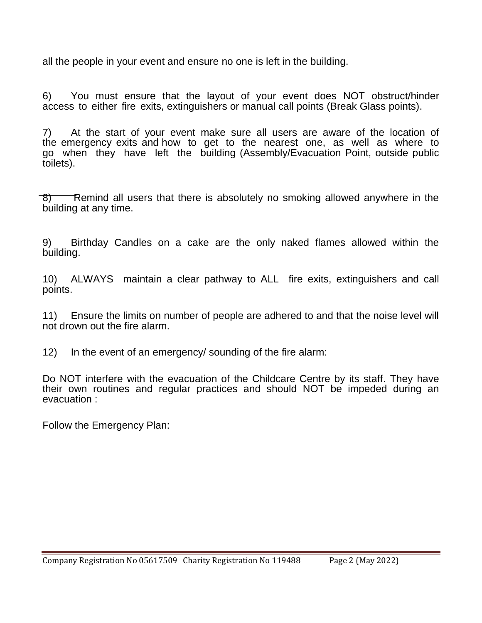all the people in your event and ensure no one is left in the building.

6) You must ensure that the layout of your event does NOT obstruct/hinder access to either fire exits, extinguishers or manual call points (Break Glass points).

7) At the start of your event make sure all users are aware of the location of the emergency exits and how to get to the nearest one, as well as where to go when they have left the building (Assembly/Evacuation Point, outside public toilets).

 $\overline{8}$ ) Remind all users that there is absolutely no smoking allowed anywhere in the building at any time.

9) Birthday Candles on a cake are the only naked flames allowed within the building.

10) ALWAYS maintain a clear pathway to ALL fire exits, extinguishers and call points.

11) Ensure the limits on number of people are adhered to and that the noise level will not drown out the fire alarm.

12) In the event of an emergency/ sounding of the fire alarm:

Do NOT interfere with the evacuation of the Childcare Centre by its staff. They have their own routines and regular practices and should NOT be impeded during an evacuation :

Follow the Emergency Plan: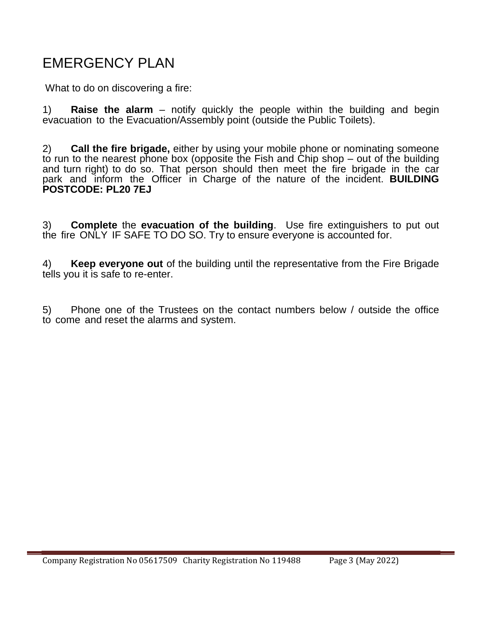# EMERGENCY PLAN

What to do on discovering a fire:

1) **Raise the alarm** – notify quickly the people within the building and begin evacuation to the Evacuation/Assembly point (outside the Public Toilets).

2) **Call the fire brigade,** either by using your mobile phone or nominating someone to run to the nearest phone box (opposite the Fish and Chip shop – out of the building and turn right) to do so. That person should then meet the fire brigade in the car park and inform the Officer in Charge of the nature of the incident. **BUILDING POSTCODE: PL20 7EJ**

3) **Complete** the **evacuation of the building**. Use fire extinguishers to put out the fire ONLY IF SAFE TO DO SO. Try to ensure everyone is accounted for.

4) **Keep everyone out** of the building until the representative from the Fire Brigade tells you it is safe to re-enter.

5) Phone one of the Trustees on the contact numbers below / outside the office to come and reset the alarms and system.